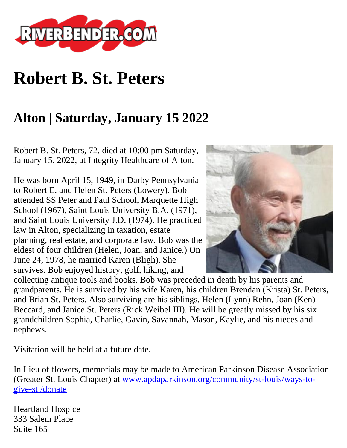

## **Robert B. St. Peters**

## **Alton | Saturday, January 15 2022**

Robert B. St. Peters, 72, died at 10:00 pm Saturday, January 15, 2022, at Integrity Healthcare of Alton.

He was born April 15, 1949, in Darby Pennsylvania to Robert E. and Helen St. Peters (Lowery). Bob attended SS Peter and Paul School, Marquette High School (1967), Saint Louis University B.A. (1971), and Saint Louis University J.D. (1974). He practiced law in Alton, specializing in taxation, estate planning, real estate, and corporate law. Bob was the eldest of four children (Helen, Joan, and Janice.) On June 24, 1978, he married Karen (Bligh). She survives. Bob enjoyed history, golf, hiking, and



collecting antique tools and books. Bob was preceded in death by his parents and grandparents. He is survived by his wife Karen, his children Brendan (Krista) St. Peters, and Brian St. Peters. Also surviving are his siblings, Helen (Lynn) Rehn, Joan (Ken) Beccard, and Janice St. Peters (Rick Weibel III). He will be greatly missed by his six grandchildren Sophia, Charlie, Gavin, Savannah, Mason, Kaylie, and his nieces and nephews.

Visitation will be held at a future date.

In Lieu of flowers, memorials may be made to American Parkinson Disease Association (Greater St. Louis Chapter) at [www.apdaparkinson.org/community/st-louis/ways-to](http://www.apdaparkinson.org/community/st-louis/ways-to-give-stl/donate)[give-stl/donate](http://www.apdaparkinson.org/community/st-louis/ways-to-give-stl/donate)

Heartland Hospice 333 Salem Place Suite 165